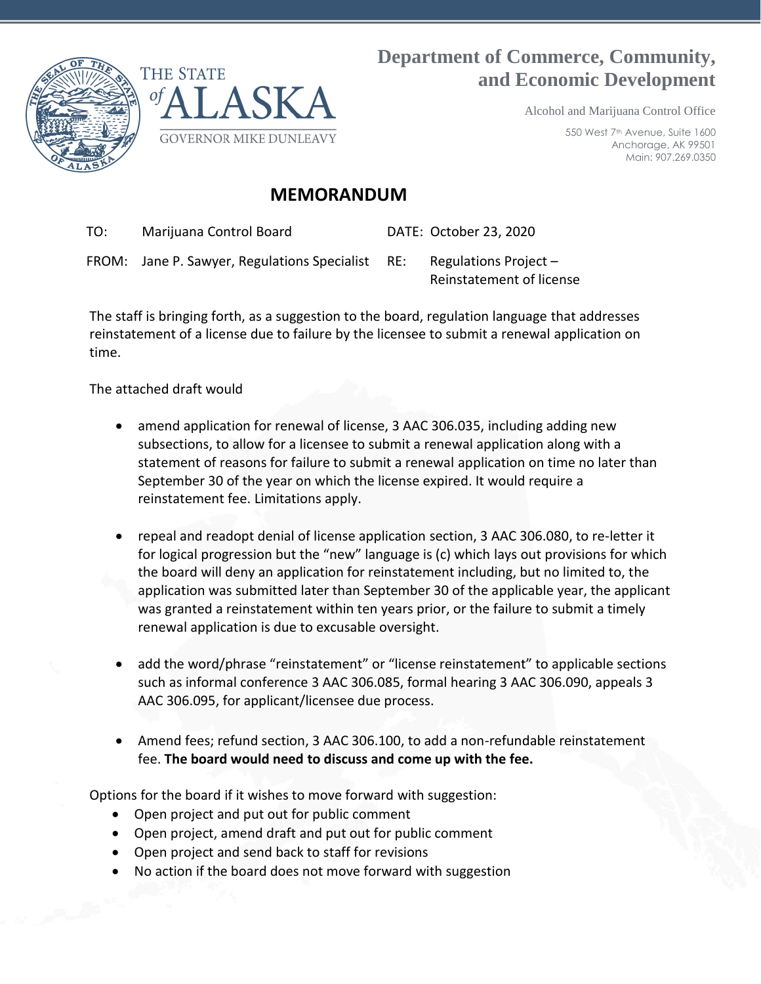



# **Department of Commerce, Community, and Economic Development**

Alcohol and Marijuana Control Office

550 West 7th Avenue, Suite 1600 Anchorage, AK 99501 Main: 907.269.0350

## **MEMORANDUM**

TO: Marijuana Control Board DATE: October 23, 2020

FROM: Jane P. Sawyer, Regulations Specialist RE: Regulations Project –

Reinstatement of license

The staff is bringing forth, as a suggestion to the board, regulation language that addresses reinstatement of a license due to failure by the licensee to submit a renewal application on time.

The attached draft would

- amend application for renewal of license, 3 AAC 306.035, including adding new subsections, to allow for a licensee to submit a renewal application along with a statement of reasons for failure to submit a renewal application on time no later than September 30 of the year on which the license expired. It would require a reinstatement fee. Limitations apply.
- repeal and readopt denial of license application section, 3 AAC 306.080, to re-letter it for logical progression but the "new" language is (c) which lays out provisions for which the board will deny an application for reinstatement including, but no limited to, the application was submitted later than September 30 of the applicable year, the applicant was granted a reinstatement within ten years prior, or the failure to submit a timely renewal application is due to excusable oversight.
- add the word/phrase "reinstatement" or "license reinstatement" to applicable sections such as informal conference 3 AAC 306.085, formal hearing 3 AAC 306.090, appeals 3 AAC 306.095, for applicant/licensee due process.
- Amend fees; refund section, 3 AAC 306.100, to add a non-refundable reinstatement fee. **The board would need to discuss and come up with the fee.**

Options for the board if it wishes to move forward with suggestion:

- Open project and put out for public comment
- Open project, amend draft and put out for public comment
- Open project and send back to staff for revisions
- No action if the board does not move forward with suggestion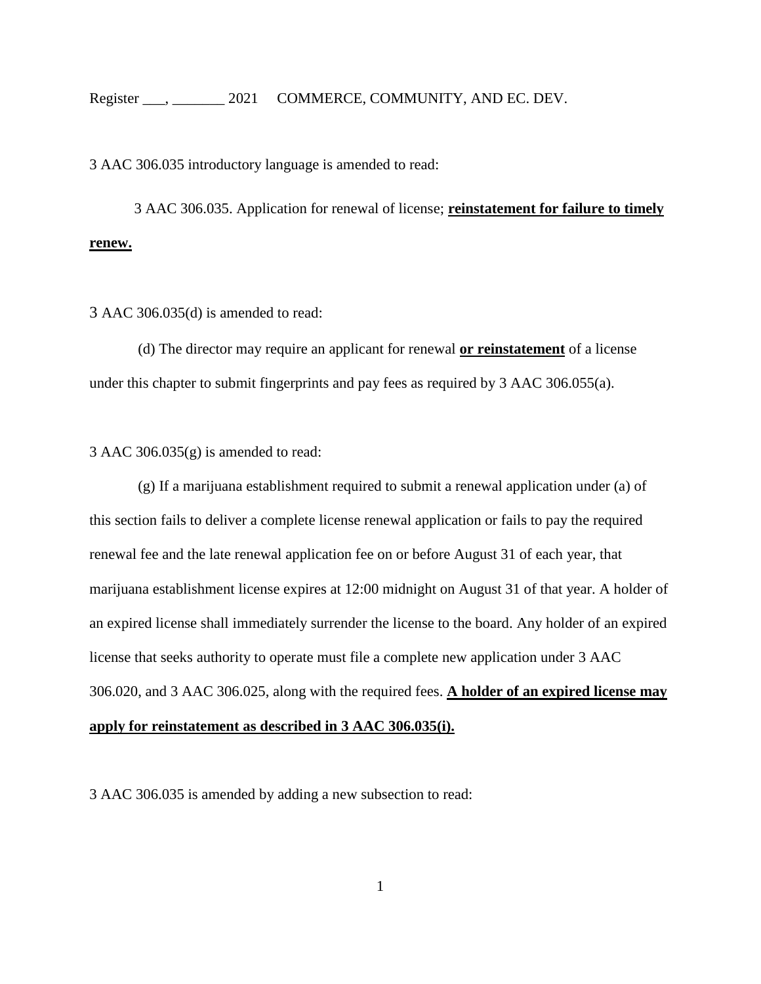3 AAC 306.035 introductory language is amended to read:

3 AAC 306.035. Application for renewal of license; **reinstatement for failure to timely renew.**

3 AAC 306.035(d) is amended to read:

(d) The director may require an applicant for renewal **or reinstatement** of a license under this chapter to submit fingerprints and pay fees as required by 3 AAC [306.055\(a\).](https://1.next.westlaw.com/Link/Document/FullText?findType=L&pubNum=1013779&cite=3AKADC306.055&originatingDoc=I1831255095D811EABF13CE3587B5C661&refType=VP&originationContext=document&transitionType=DocumentItem&contextData=(sc.Category))

3 AAC 306.035 $(g)$  is amended to read:

(g) If a marijuana establishment required to submit a renewal application under (a) of this section fails to deliver a complete license renewal application or fails to pay the required renewal fee and the late renewal application fee on or before August 31 of each year, that marijuana establishment license expires at 12:00 midnight on August 31 of that year. A holder of an expired license shall immediately surrender the license to the board. Any holder of an expired license that seeks authority to operate must file a complete new application under [3 AAC](https://1.next.westlaw.com/Link/Document/FullText?findType=L&pubNum=1013779&cite=3AKADC306.020&originatingDoc=I1831255095D811EABF13CE3587B5C661&refType=VP&originationContext=document&transitionType=DocumentItem&contextData=(sc.Category))  [306.020,](https://1.next.westlaw.com/Link/Document/FullText?findType=L&pubNum=1013779&cite=3AKADC306.020&originatingDoc=I1831255095D811EABF13CE3587B5C661&refType=VP&originationContext=document&transitionType=DocumentItem&contextData=(sc.Category)) and [3 AAC 306.025,](https://1.next.westlaw.com/Link/Document/FullText?findType=L&pubNum=1013779&cite=3AKADC306.025&originatingDoc=I1831255095D811EABF13CE3587B5C661&refType=VP&originationContext=document&transitionType=DocumentItem&contextData=(sc.Category)) along with the required fees. **A holder of an expired license may apply for reinstatement as described in 3 AAC 306.035(i).** 

3 AAC 306.035 is amended by adding a new subsection to read: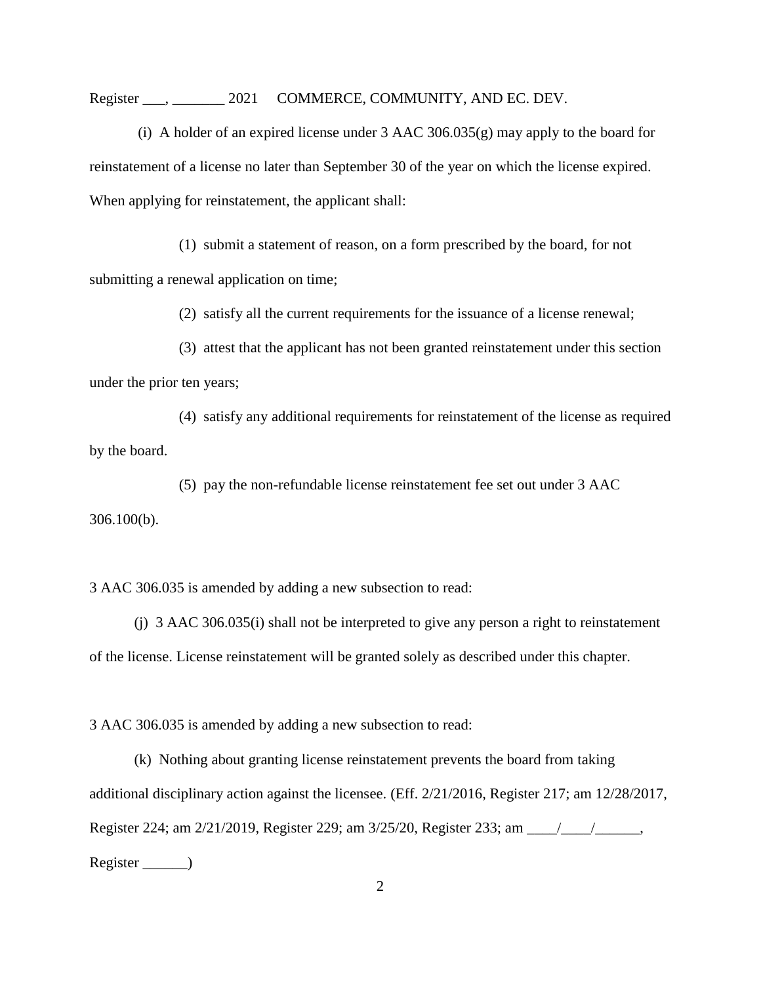Register . 2021 COMMERCE, COMMUNITY, AND EC. DEV.

(i)A holder of an expired license under 3 AAC 306.035(g) may apply to the board for reinstatement of a license no later than September 30 of the year on which the license expired. When applying for reinstatement, the applicant shall:

(1) submit a statement of reason, on a form prescribed by the board, for not submitting a renewal application on time;

(2) satisfy all the current requirements for the issuance of a license renewal;

(3) attest that the applicant has not been granted reinstatement under this section under the prior ten years;

(4) satisfy any additional requirements for reinstatement of the license as required by the board.

(5) pay the non-refundable license reinstatement fee set out under 3 AAC 306.100(b).

3 AAC 306.035 is amended by adding a new subsection to read:

(j) 3 AAC 306.035(i) shall not be interpreted to give any person a right to reinstatement of the license. License reinstatement will be granted solely as described under this chapter.

3 AAC 306.035 is amended by adding a new subsection to read:

(k) Nothing about granting license reinstatement prevents the board from taking additional disciplinary action against the licensee. (Eff. 2/21/2016, Register 217; am 12/28/2017, Register 224; am 2/21/2019, Register 229; am 3/25/20, Register 233; am \_\_\_\_/\_\_\_\_/\_\_\_\_\_\_, Register \_\_\_\_\_\_)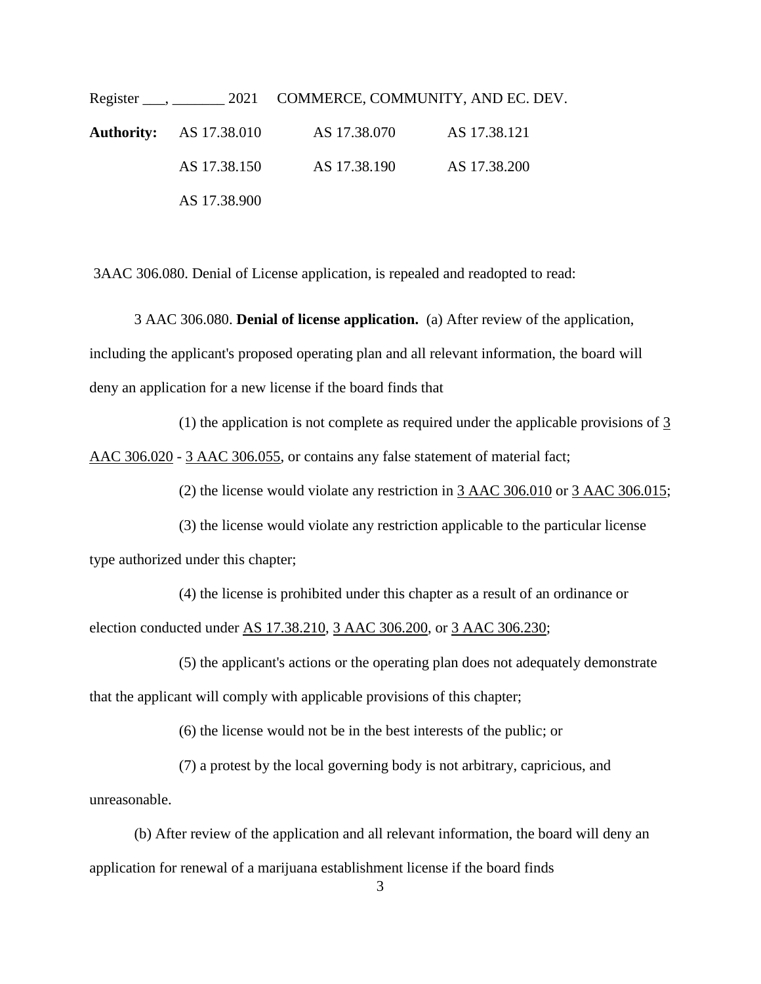Register \_\_\_, \_\_\_\_\_\_\_\_\_ 2021 COMMERCE, COMMUNITY, AND EC. DEV. **Authority:** AS 17.38.010 AS 17.38.070 AS 17.38.121 AS 17.38.150 AS 17.38.190 AS 17.38.200 AS 17.38.900

3AAC 306.080. Denial of License application, is repealed and readopted to read:

3 AAC 306.080. **Denial of license application.** (a) After review of the application, including the applicant's proposed operating plan and all relevant information, the board will deny an application for a new license if the board finds that

(1) the application is not complete as required under the applicable provisions of [3](https://1.next.westlaw.com/Link/Document/FullText?findType=L&pubNum=1013779&cite=3AKADC306.020&originatingDoc=I6BDD7AF0D86E11E9920EA00A95CAB55E&refType=VP&originationContext=document&transitionType=DocumentItem&contextData=(sc.Document))  [AAC 306.020](https://1.next.westlaw.com/Link/Document/FullText?findType=L&pubNum=1013779&cite=3AKADC306.020&originatingDoc=I6BDD7AF0D86E11E9920EA00A95CAB55E&refType=VP&originationContext=document&transitionType=DocumentItem&contextData=(sc.Document)) - [3 AAC 306.055,](https://1.next.westlaw.com/Link/Document/FullText?findType=L&pubNum=1013779&cite=3AKADC306.055&originatingDoc=I6BDD7AF0D86E11E9920EA00A95CAB55E&refType=VP&originationContext=document&transitionType=DocumentItem&contextData=(sc.Document)) or contains any false statement of material fact;

(2) the license would violate any restriction in [3 AAC 306.010](https://1.next.westlaw.com/Link/Document/FullText?findType=L&pubNum=1013779&cite=3AKADC306.010&originatingDoc=I6BDD7AF0D86E11E9920EA00A95CAB55E&refType=VP&originationContext=document&transitionType=DocumentItem&contextData=(sc.Document)) or [3 AAC 306.015;](https://1.next.westlaw.com/Link/Document/FullText?findType=L&pubNum=1013779&cite=3AKADC306.015&originatingDoc=I6BDD7AF0D86E11E9920EA00A95CAB55E&refType=VP&originationContext=document&transitionType=DocumentItem&contextData=(sc.Document))

(3) the license would violate any restriction applicable to the particular license type authorized under this chapter;

(4) the license is prohibited under this chapter as a result of an ordinance or election conducted under [AS 17.38.210,](https://1.next.westlaw.com/Link/Document/FullText?findType=L&pubNum=1000003&cite=AKSTS17.38.210&originatingDoc=I6BDD7AF0D86E11E9920EA00A95CAB55E&refType=LQ&originationContext=document&transitionType=DocumentItem&contextData=(sc.Document)) 3 AAC [306.200,](https://1.next.westlaw.com/Link/Document/FullText?findType=L&pubNum=1013779&cite=3AKADC306.200&originatingDoc=I6BDD7AF0D86E11E9920EA00A95CAB55E&refType=VP&originationContext=document&transitionType=DocumentItem&contextData=(sc.Document)) or [3 AAC 306.230;](https://1.next.westlaw.com/Link/Document/FullText?findType=L&pubNum=1013779&cite=3AKADC306.230&originatingDoc=I6BDD7AF0D86E11E9920EA00A95CAB55E&refType=VP&originationContext=document&transitionType=DocumentItem&contextData=(sc.Document))

(5) the applicant's actions or the operating plan does not adequately demonstrate that the applicant will comply with applicable provisions of this chapter;

(6) the license would not be in the best interests of the public; or

(7) a protest by the local governing body is not arbitrary, capricious, and unreasonable.

(b) After review of the application and all relevant information, the board will deny an application for renewal of a marijuana establishment license if the board finds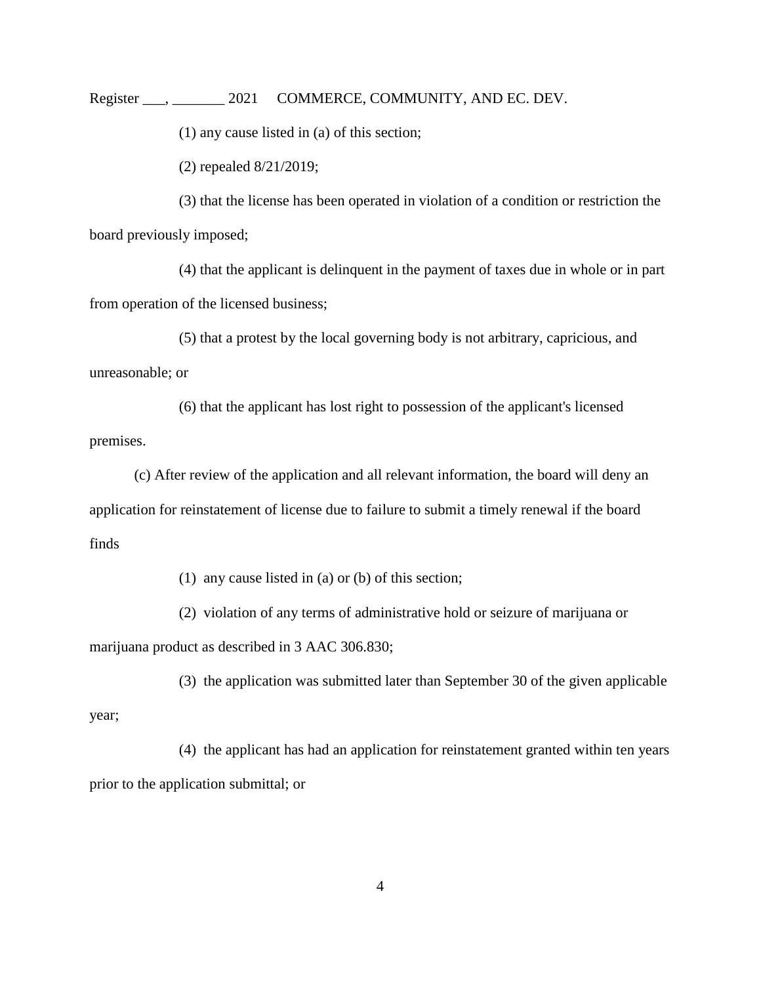(1) any cause listed in (a) of this section;

(2) repealed 8/21/2019;

(3) that the license has been operated in violation of a condition or restriction the board previously imposed;

(4) that the applicant is delinquent in the payment of taxes due in whole or in part from operation of the licensed business;

(5) that a protest by the local governing body is not arbitrary, capricious, and unreasonable; or

(6) that the applicant has lost right to possession of the applicant's licensed premises.

(c) After review of the application and all relevant information, the board will deny an application for reinstatement of license due to failure to submit a timely renewal if the board finds

(1) any cause listed in (a) or (b) of this section;

(2) violation of any terms of administrative hold or seizure of marijuana or

marijuana product as described in 3 AAC 306.830;

year;

(3) the application was submitted later than September 30 of the given applicable

(4) the applicant has had an application for reinstatement granted within ten years prior to the application submittal; or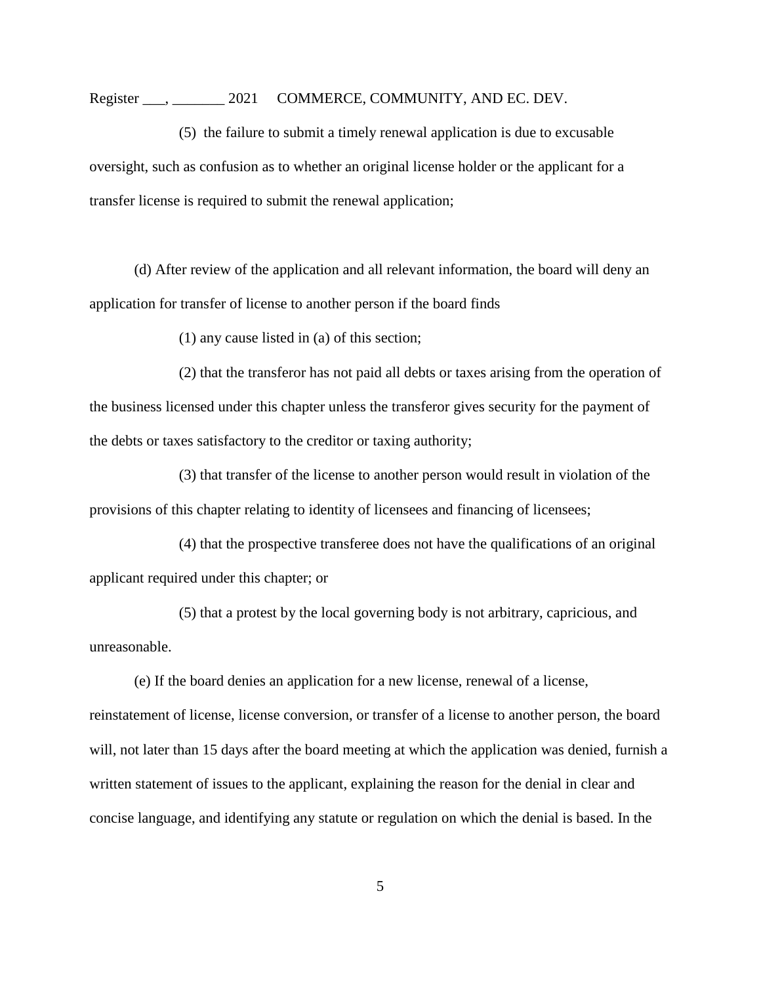#### Register . 2021 COMMERCE, COMMUNITY, AND EC. DEV.

(5) the failure to submit a timely renewal application is due to excusable oversight, such as confusion as to whether an original license holder or the applicant for a transfer license is required to submit the renewal application;

(d) After review of the application and all relevant information, the board will deny an application for transfer of license to another person if the board finds

(1) any cause listed in (a) of this section;

(2) that the transferor has not paid all debts or taxes arising from the operation of the business licensed under this chapter unless the transferor gives security for the payment of the debts or taxes satisfactory to the creditor or taxing authority;

(3) that transfer of the license to another person would result in violation of the provisions of this chapter relating to identity of licensees and financing of licensees;

(4) that the prospective transferee does not have the qualifications of an original applicant required under this chapter; or

(5) that a protest by the local governing body is not arbitrary, capricious, and unreasonable.

(e) If the board denies an application for a new license, renewal of a license, reinstatement of license, license conversion, or transfer of a license to another person, the board will, not later than 15 days after the board meeting at which the application was denied, furnish a written statement of issues to the applicant, explaining the reason for the denial in clear and concise language, and identifying any statute or regulation on which the denial is based. In the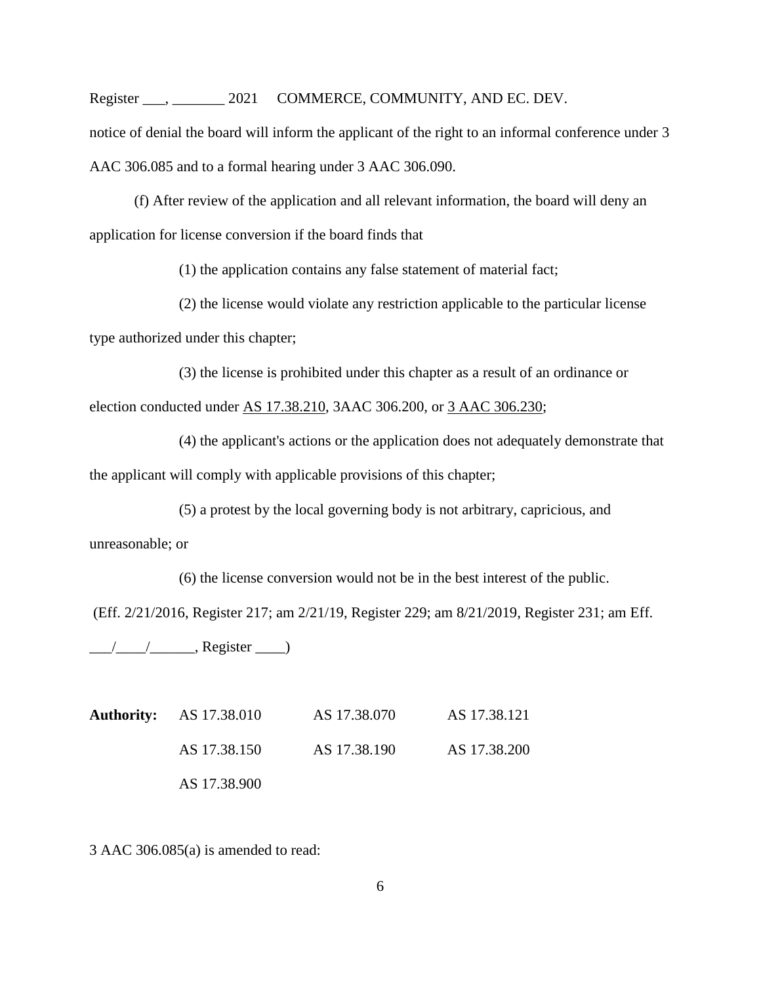notice of denial the board will inform the applicant of the right to an informal conference under [3](https://1.next.westlaw.com/Link/Document/FullText?findType=L&pubNum=1013779&cite=3AKADC306.085&originatingDoc=I6BDD7AF0D86E11E9920EA00A95CAB55E&refType=VP&originationContext=document&transitionType=DocumentItem&contextData=(sc.Category))  [AAC 306.085](https://1.next.westlaw.com/Link/Document/FullText?findType=L&pubNum=1013779&cite=3AKADC306.085&originatingDoc=I6BDD7AF0D86E11E9920EA00A95CAB55E&refType=VP&originationContext=document&transitionType=DocumentItem&contextData=(sc.Category)) and to a formal hearing under [3 AAC 306.090.](https://1.next.westlaw.com/Link/Document/FullText?findType=L&pubNum=1013779&cite=3AKADC306.090&originatingDoc=I6BDD7AF0D86E11E9920EA00A95CAB55E&refType=VP&originationContext=document&transitionType=DocumentItem&contextData=(sc.Category))

(f) After review of the application and all relevant information, the board will deny an application for license conversion if the board finds that

(1) the application contains any false statement of material fact;

(2) the license would violate any restriction applicable to the particular license type authorized under this chapter;

(3) the license is prohibited under this chapter as a result of an ordinance or election conducted under [AS 17.38.210,](https://1.next.westlaw.com/Link/Document/FullText?findType=L&pubNum=1000003&cite=AKSTS17.38.210&originatingDoc=I6BDD7AF0D86E11E9920EA00A95CAB55E&refType=LQ&originationContext=document&transitionType=DocumentItem&contextData=(sc.Document)) 3AAC 306.200, or [3 AAC 306.230;](https://1.next.westlaw.com/Link/Document/FullText?findType=L&pubNum=1013779&cite=3AKADC306.230&originatingDoc=I6BDD7AF0D86E11E9920EA00A95CAB55E&refType=VP&originationContext=document&transitionType=DocumentItem&contextData=(sc.Document))

(4) the applicant's actions or the application does not adequately demonstrate that the applicant will comply with applicable provisions of this chapter;

(5) a protest by the local governing body is not arbitrary, capricious, and unreasonable; or

(6) the license conversion would not be in the best interest of the public. (Eff. 2/21/2016, Register 217; am 2/21/19, Register 229; am 8/21/2019, Register 231; am Eff.

 $\frac{1}{\sqrt{2\pi}}$  Register  $\frac{1}{\sqrt{2\pi}}$ 

**Authority:** AS 17.38.010 AS 17.38.070 AS 17.38.121 AS 17.38.150 AS 17.38.190 AS 17.38.200 AS 17.38.900

3 AAC 306.085(a) is amended to read: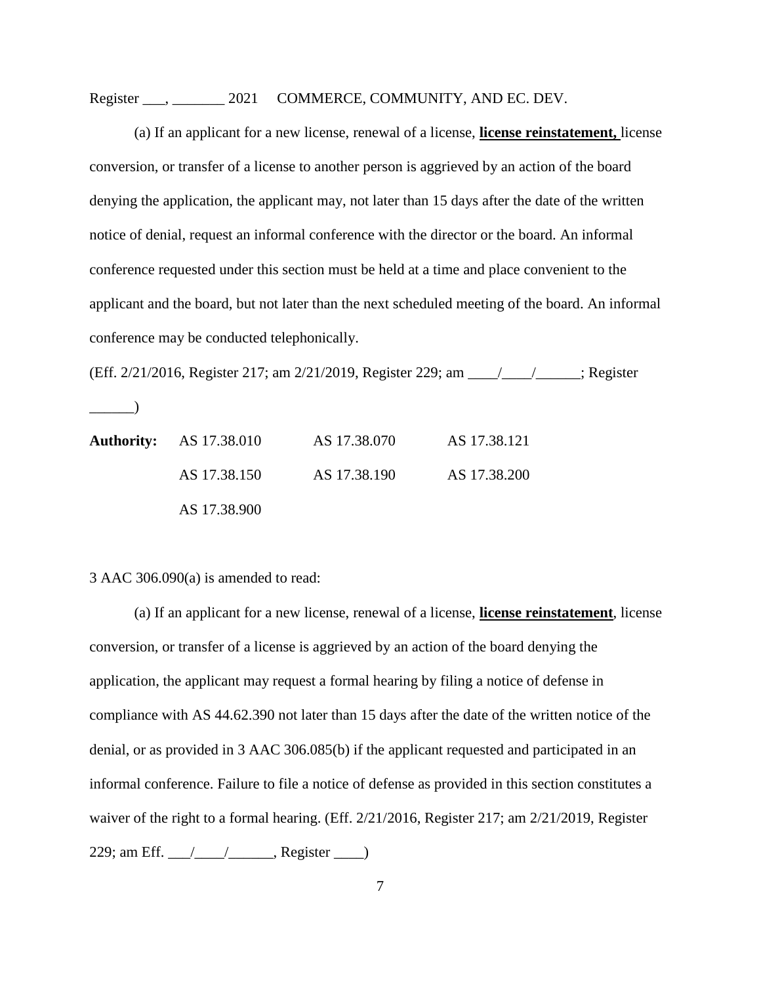### Register . 2021 COMMERCE, COMMUNITY, AND EC. DEV.

(a) If an applicant for a new license, renewal of a license, **license reinstatement,** license conversion, or transfer of a license to another person is aggrieved by an action of the board denying the application, the applicant may, not later than 15 days after the date of the written notice of denial, request an informal conference with the director or the board. An informal conference requested under this section must be held at a time and place convenient to the applicant and the board, but not later than the next scheduled meeting of the board. An informal conference may be conducted telephonically.

(Eff. 2/21/2016, Register 217; am 2/21/2019, Register 229; am \_\_\_\_/\_\_\_\_/\_\_\_\_\_\_; Register

 $\rule{1em}{0.15mm}$ 

| <b>Authority:</b> AS 17.38.010 | AS 17.38.070 | AS 17.38.121 |
|--------------------------------|--------------|--------------|
| AS 17.38.150                   | AS 17.38.190 | AS 17.38.200 |
| AS 17.38.900                   |              |              |

#### 3 AAC 306.090(a) is amended to read:

(a) If an applicant for a new license, renewal of a license, **license reinstatement**, license conversion, or transfer of a license is aggrieved by an action of the board denying the application, the applicant may request a formal hearing by filing a notice of defense in compliance with [AS 44.62.390](https://1.next.westlaw.com/Link/Document/FullText?findType=L&pubNum=1000003&cite=AKSTS44.62.390&originatingDoc=I7FEBF710337D11E9BAA689517D4E755F&refType=LQ&originationContext=document&transitionType=DocumentItem&contextData=(sc.Document)) not later than 15 days after the date of the written notice of the denial, or as provided in [3 AAC 306.085\(b\)](https://1.next.westlaw.com/Link/Document/FullText?findType=L&pubNum=1013779&cite=3AKADC306.085&originatingDoc=I7FEBF710337D11E9BAA689517D4E755F&refType=VP&originationContext=document&transitionType=DocumentItem&contextData=(sc.Document)) if the applicant requested and participated in an informal conference. Failure to file a notice of defense as provided in this section constitutes a waiver of the right to a formal hearing. (Eff. 2/21/2016, Register 217; am 2/21/2019, Register 229; am Eff. \_\_\_/\_\_\_\_/\_\_\_\_\_\_, Register \_\_\_\_)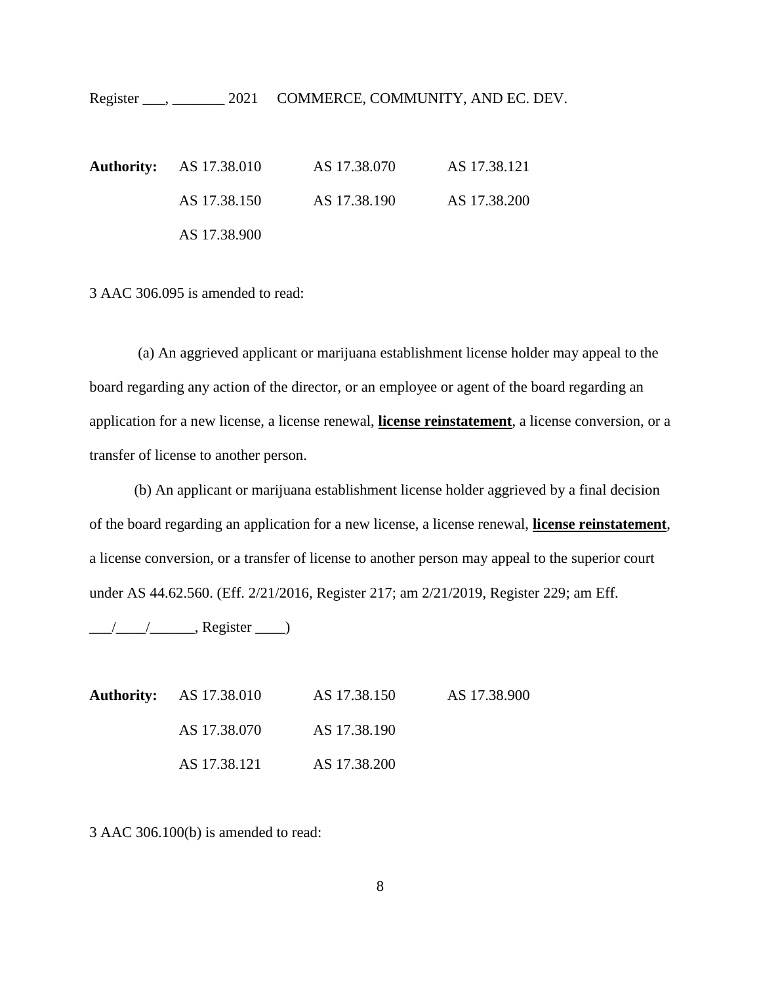**Authority:** AS 17.38.010 AS 17.38.070 AS 17.38.121 AS 17.38.150 AS 17.38.190 AS 17.38.200 AS 17.38.900

3 AAC 306.095 is amended to read:

(a) An aggrieved applicant or marijuana establishment license holder may appeal to the board regarding any action of the director, or an employee or agent of the board regarding an application for a new license, a license renewal, **license reinstatement**, a license conversion, or a transfer of license to another person.

(b) An applicant or marijuana establishment license holder aggrieved by a final decision of the board regarding an application for a new license, a license renewal, **license reinstatement**, a license conversion, or a transfer of license to another person may appeal to the superior court under [AS 44.62.560.](https://1.next.westlaw.com/Link/Document/FullText?findType=L&pubNum=1000003&cite=AKSTS44.62.560&originatingDoc=I88B1C0F0337D11E9A47C98E77EF97EA8&refType=LQ&originationContext=document&transitionType=DocumentItem&contextData=(sc.Category)) (Eff. 2/21/2016, Register 217; am 2/21/2019, Register 229; am Eff.

 $\frac{1}{\sqrt{2\pi}}$ , Register  $\frac{1}{\sqrt{2\pi}}$ 

|  | <b>Authority:</b> AS 17.38.010 | AS 17.38.150 | AS 17.38.900 |
|--|--------------------------------|--------------|--------------|
|  | AS 17.38.070                   | AS 17.38.190 |              |
|  | AS 17.38.121                   | AS 17.38.200 |              |

3 AAC 306.100(b) is amended to read: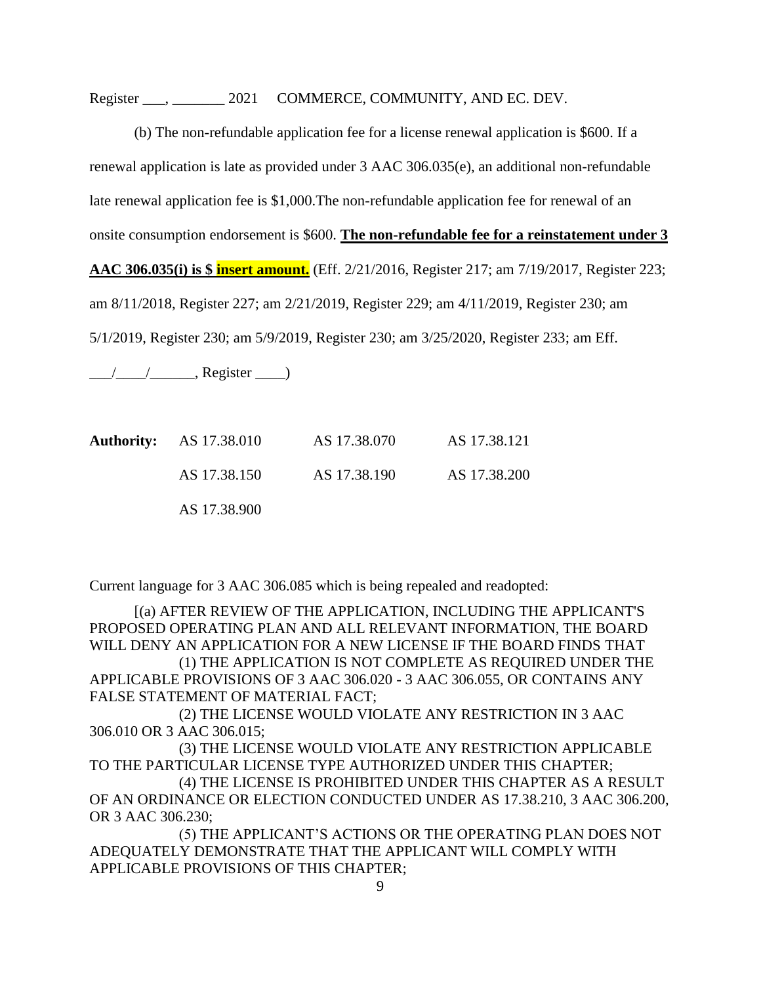Register  $\qquad \qquad , \qquad \qquad 2021 \quad \text{COMMERCE, COMMUNITY, AND EC. DEV.}$ 

(b) The non-refundable application fee for a license renewal application is \$600. If a renewal application is late as provided under [3 AAC 306.035\(e\),](https://1.next.westlaw.com/Link/Document/FullText?findType=L&pubNum=1013779&cite=3AKADC306.035&originatingDoc=I7287524195E211EAB35CE56EAE92FBF0&refType=VP&originationContext=document&transitionType=DocumentItem&contextData=(sc.Category)) an additional non-refundable late renewal application fee is \$1,000.The non-refundable application fee for renewal of an onsite consumption endorsement is \$600. **The non-refundable fee for a reinstatement under 3 AAC 306.035(i) is \$ insert amount.** (Eff. 2/21/2016, Register 217; am 7/19/2017, Register 223; am 8/11/2018, Register 227; am 2/21/2019, Register 229; am 4/11/2019, Register 230; am 5/1/2019, Register 230; am 5/9/2019, Register 230; am 3/25/2020, Register 233; am Eff.

 $\frac{1}{\sqrt{2\pi}}$ , Register  $\frac{1}{\sqrt{2\pi}}$ 

|  | <b>Authority:</b> AS 17.38.010 | AS 17.38.070 | AS 17.38.121 |
|--|--------------------------------|--------------|--------------|
|  | AS 17.38.150                   | AS 17.38.190 | AS 17.38.200 |
|  | AS 17.38.900                   |              |              |

Current language for 3 AAC 306.085 which is being repealed and readopted:

[(a) AFTER REVIEW OF THE APPLICATION, INCLUDING THE APPLICANT'S PROPOSED OPERATING PLAN AND ALL RELEVANT INFORMATION, THE BOARD WILL DENY AN APPLICATION FOR A NEW LICENSE IF THE BOARD FINDS THAT (1) THE APPLICATION IS NOT COMPLETE AS REQUIRED UNDER THE APPLICABLE PROVISIONS OF 3 AAC 306.020 - 3 AAC 306.055, OR CONTAINS ANY FALSE STATEMENT OF MATERIAL FACT;

(2) THE LICENSE WOULD VIOLATE ANY RESTRICTION IN 3 AAC 306.010 OR 3 AAC 306.015;

(3) THE LICENSE WOULD VIOLATE ANY RESTRICTION APPLICABLE TO THE PARTICULAR LICENSE TYPE AUTHORIZED UNDER THIS CHAPTER;

(4) THE LICENSE IS PROHIBITED UNDER THIS CHAPTER AS A RESULT OF AN ORDINANCE OR ELECTION CONDUCTED UNDER AS 17.38.210, 3 AAC 306.200, OR 3 AAC 306.230;

(5) THE APPLICANT'S ACTIONS OR THE OPERATING PLAN DOES NOT ADEQUATELY DEMONSTRATE THAT THE APPLICANT WILL COMPLY WITH APPLICABLE PROVISIONS OF THIS CHAPTER;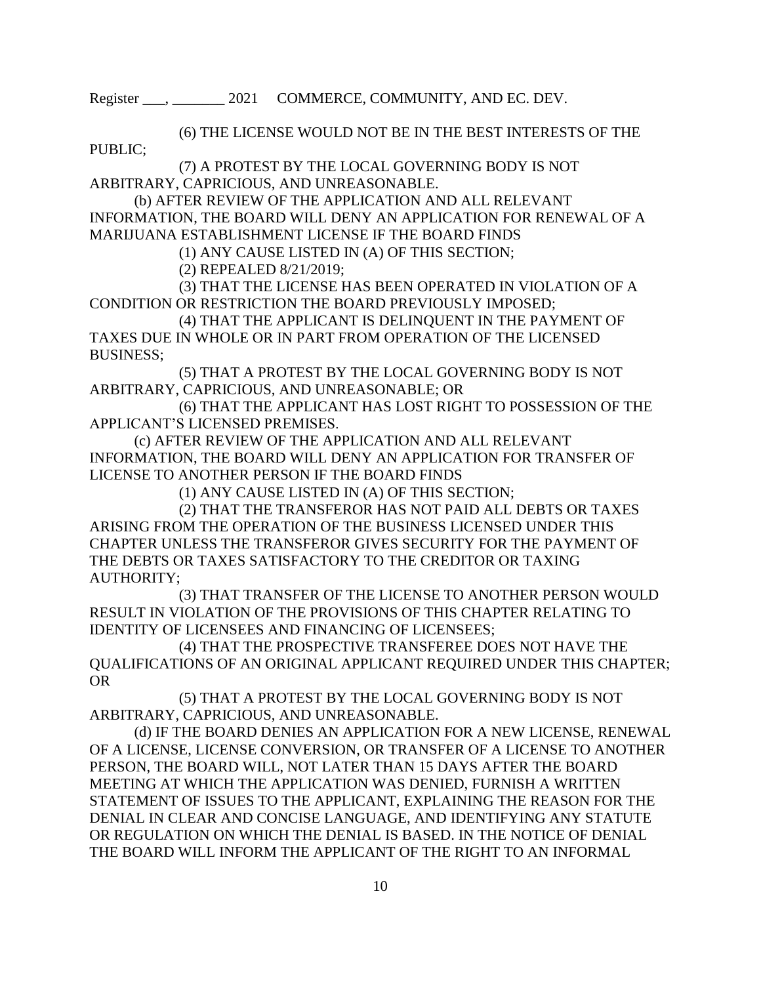(6) THE LICENSE WOULD NOT BE IN THE BEST INTERESTS OF THE PUBLIC;

(7) A PROTEST BY THE LOCAL GOVERNING BODY IS NOT ARBITRARY, CAPRICIOUS, AND UNREASONABLE.

(b) AFTER REVIEW OF THE APPLICATION AND ALL RELEVANT INFORMATION, THE BOARD WILL DENY AN APPLICATION FOR RENEWAL OF A MARIJUANA ESTABLISHMENT LICENSE IF THE BOARD FINDS

(1) ANY CAUSE LISTED IN (A) OF THIS SECTION;

(2) REPEALED 8/21/2019;

(3) THAT THE LICENSE HAS BEEN OPERATED IN VIOLATION OF A CONDITION OR RESTRICTION THE BOARD PREVIOUSLY IMPOSED;

(4) THAT THE APPLICANT IS DELINQUENT IN THE PAYMENT OF TAXES DUE IN WHOLE OR IN PART FROM OPERATION OF THE LICENSED BUSINESS;

(5) THAT A PROTEST BY THE LOCAL GOVERNING BODY IS NOT ARBITRARY, CAPRICIOUS, AND UNREASONABLE; OR

(6) THAT THE APPLICANT HAS LOST RIGHT TO POSSESSION OF THE APPLICANT'S LICENSED PREMISES.

(c) AFTER REVIEW OF THE APPLICATION AND ALL RELEVANT INFORMATION, THE BOARD WILL DENY AN APPLICATION FOR TRANSFER OF LICENSE TO ANOTHER PERSON IF THE BOARD FINDS

(1) ANY CAUSE LISTED IN (A) OF THIS SECTION;

(2) THAT THE TRANSFEROR HAS NOT PAID ALL DEBTS OR TAXES ARISING FROM THE OPERATION OF THE BUSINESS LICENSED UNDER THIS CHAPTER UNLESS THE TRANSFEROR GIVES SECURITY FOR THE PAYMENT OF THE DEBTS OR TAXES SATISFACTORY TO THE CREDITOR OR TAXING AUTHORITY;

(3) THAT TRANSFER OF THE LICENSE TO ANOTHER PERSON WOULD RESULT IN VIOLATION OF THE PROVISIONS OF THIS CHAPTER RELATING TO IDENTITY OF LICENSEES AND FINANCING OF LICENSEES;

(4) THAT THE PROSPECTIVE TRANSFEREE DOES NOT HAVE THE QUALIFICATIONS OF AN ORIGINAL APPLICANT REQUIRED UNDER THIS CHAPTER; OR

(5) THAT A PROTEST BY THE LOCAL GOVERNING BODY IS NOT ARBITRARY, CAPRICIOUS, AND UNREASONABLE.

(d) IF THE BOARD DENIES AN APPLICATION FOR A NEW LICENSE, RENEWAL OF A LICENSE, LICENSE CONVERSION, OR TRANSFER OF A LICENSE TO ANOTHER PERSON, THE BOARD WILL, NOT LATER THAN 15 DAYS AFTER THE BOARD MEETING AT WHICH THE APPLICATION WAS DENIED, FURNISH A WRITTEN STATEMENT OF ISSUES TO THE APPLICANT, EXPLAINING THE REASON FOR THE DENIAL IN CLEAR AND CONCISE LANGUAGE, AND IDENTIFYING ANY STATUTE OR REGULATION ON WHICH THE DENIAL IS BASED. IN THE NOTICE OF DENIAL THE BOARD WILL INFORM THE APPLICANT OF THE RIGHT TO AN INFORMAL